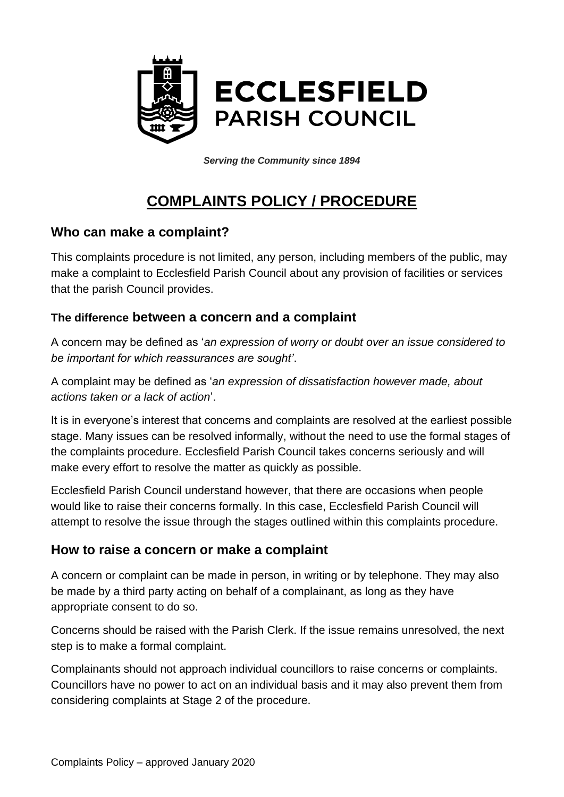

*Serving the Community since 1894*

# **COMPLAINTS POLICY / PROCEDURE**

#### **Who can make a complaint?**

This complaints procedure is not limited, any person, including members of the public, may make a complaint to Ecclesfield Parish Council about any provision of facilities or services that the parish Council provides.

#### **The difference between a concern and a complaint**

A concern may be defined as '*an expression of worry or doubt over an issue considered to be important for which reassurances are sought'*.

A complaint may be defined as '*an expression of dissatisfaction however made, about actions taken or a lack of action*'.

It is in everyone's interest that concerns and complaints are resolved at the earliest possible stage. Many issues can be resolved informally, without the need to use the formal stages of the complaints procedure. Ecclesfield Parish Council takes concerns seriously and will make every effort to resolve the matter as quickly as possible.

Ecclesfield Parish Council understand however, that there are occasions when people would like to raise their concerns formally. In this case, Ecclesfield Parish Council will attempt to resolve the issue through the stages outlined within this complaints procedure.

#### **How to raise a concern or make a complaint**

A concern or complaint can be made in person, in writing or by telephone. They may also be made by a third party acting on behalf of a complainant, as long as they have appropriate consent to do so.

Concerns should be raised with the Parish Clerk. If the issue remains unresolved, the next step is to make a formal complaint.

Complainants should not approach individual councillors to raise concerns or complaints. Councillors have no power to act on an individual basis and it may also prevent them from considering complaints at Stage 2 of the procedure.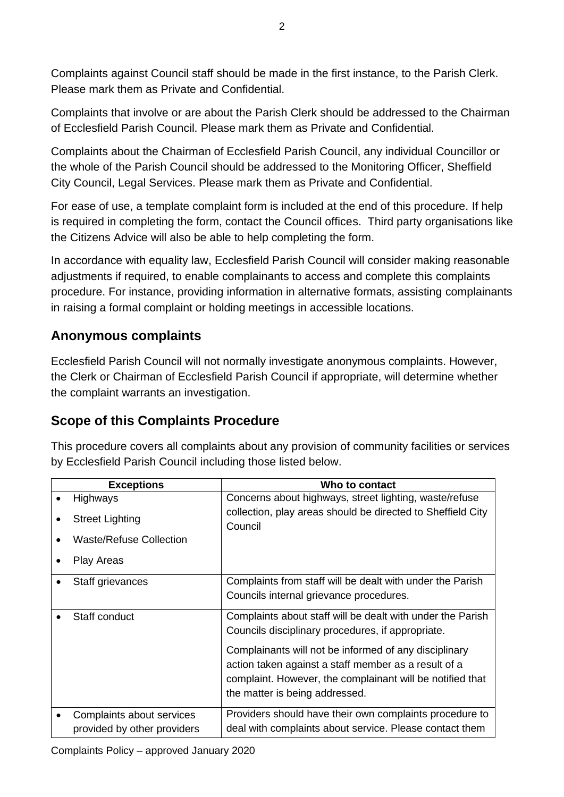Complaints against Council staff should be made in the first instance, to the Parish Clerk. Please mark them as Private and Confidential.

Complaints that involve or are about the Parish Clerk should be addressed to the Chairman of Ecclesfield Parish Council. Please mark them as Private and Confidential.

Complaints about the Chairman of Ecclesfield Parish Council, any individual Councillor or the whole of the Parish Council should be addressed to the Monitoring Officer, Sheffield City Council, Legal Services. Please mark them as Private and Confidential.

For ease of use, a template complaint form is included at the end of this procedure. If help is required in completing the form, contact the Council offices. Third party organisations like the Citizens Advice will also be able to help completing the form.

In accordance with equality law, Ecclesfield Parish Council will consider making reasonable adjustments if required, to enable complainants to access and complete this complaints procedure. For instance, providing information in alternative formats, assisting complainants in raising a formal complaint or holding meetings in accessible locations.

### **Anonymous complaints**

Ecclesfield Parish Council will not normally investigate anonymous complaints. However, the Clerk or Chairman of Ecclesfield Parish Council if appropriate, will determine whether the complaint warrants an investigation.

## **Scope of this Complaints Procedure**

This procedure covers all complaints about any provision of community facilities or services by Ecclesfield Parish Council including those listed below.

| <b>Exceptions</b>                                        | Who to contact                                                                                                                                                                                               |
|----------------------------------------------------------|--------------------------------------------------------------------------------------------------------------------------------------------------------------------------------------------------------------|
| <b>Highways</b>                                          | Concerns about highways, street lighting, waste/refuse                                                                                                                                                       |
| <b>Street Lighting</b>                                   | collection, play areas should be directed to Sheffield City<br>Council                                                                                                                                       |
| <b>Waste/Refuse Collection</b>                           |                                                                                                                                                                                                              |
| <b>Play Areas</b>                                        |                                                                                                                                                                                                              |
| Staff grievances                                         | Complaints from staff will be dealt with under the Parish<br>Councils internal grievance procedures.                                                                                                         |
| Staff conduct                                            | Complaints about staff will be dealt with under the Parish<br>Councils disciplinary procedures, if appropriate.                                                                                              |
|                                                          | Complainants will not be informed of any disciplinary<br>action taken against a staff member as a result of a<br>complaint. However, the complainant will be notified that<br>the matter is being addressed. |
| Complaints about services<br>provided by other providers | Providers should have their own complaints procedure to<br>deal with complaints about service. Please contact them                                                                                           |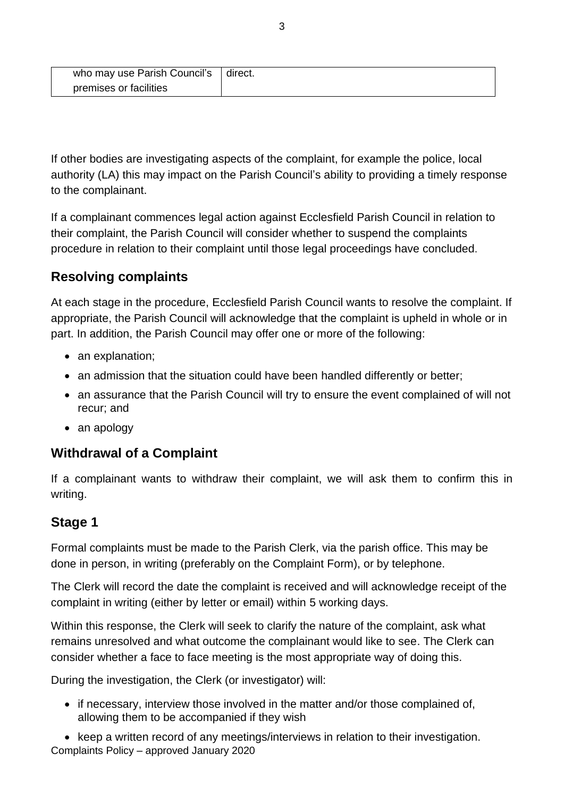| who may use Parish Council's | I direct. |
|------------------------------|-----------|
| premises or facilities       |           |

If other bodies are investigating aspects of the complaint, for example the police, local authority (LA) this may impact on the Parish Council's ability to providing a timely response to the complainant.

If a complainant commences legal action against Ecclesfield Parish Council in relation to their complaint, the Parish Council will consider whether to suspend the complaints procedure in relation to their complaint until those legal proceedings have concluded.

### **Resolving complaints**

At each stage in the procedure, Ecclesfield Parish Council wants to resolve the complaint. If appropriate, the Parish Council will acknowledge that the complaint is upheld in whole or in part. In addition, the Parish Council may offer one or more of the following:

- an explanation;
- an admission that the situation could have been handled differently or better;
- an assurance that the Parish Council will try to ensure the event complained of will not recur; and
- an apology

#### **Withdrawal of a Complaint**

If a complainant wants to withdraw their complaint, we will ask them to confirm this in writing.

#### **Stage 1**

Formal complaints must be made to the Parish Clerk, via the parish office. This may be done in person, in writing (preferably on the Complaint Form), or by telephone.

The Clerk will record the date the complaint is received and will acknowledge receipt of the complaint in writing (either by letter or email) within 5 working days.

Within this response, the Clerk will seek to clarify the nature of the complaint, ask what remains unresolved and what outcome the complainant would like to see. The Clerk can consider whether a face to face meeting is the most appropriate way of doing this.

During the investigation, the Clerk (or investigator) will:

• if necessary, interview those involved in the matter and/or those complained of, allowing them to be accompanied if they wish

Complaints Policy – approved January 2020 • keep a written record of any meetings/interviews in relation to their investigation.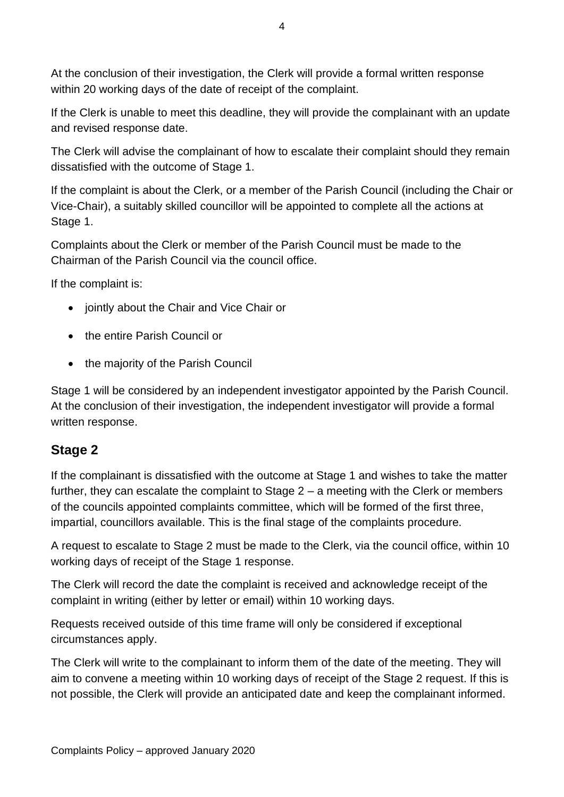At the conclusion of their investigation, the Clerk will provide a formal written response within 20 working days of the date of receipt of the complaint.

If the Clerk is unable to meet this deadline, they will provide the complainant with an update and revised response date.

The Clerk will advise the complainant of how to escalate their complaint should they remain dissatisfied with the outcome of Stage 1.

If the complaint is about the Clerk, or a member of the Parish Council (including the Chair or Vice-Chair), a suitably skilled councillor will be appointed to complete all the actions at Stage 1.

Complaints about the Clerk or member of the Parish Council must be made to the Chairman of the Parish Council via the council office.

If the complaint is:

- jointly about the Chair and Vice Chair or
- the entire Parish Council or
- the majority of the Parish Council

Stage 1 will be considered by an independent investigator appointed by the Parish Council. At the conclusion of their investigation, the independent investigator will provide a formal written response.

#### **Stage 2**

If the complainant is dissatisfied with the outcome at Stage 1 and wishes to take the matter further, they can escalate the complaint to Stage 2 – a meeting with the Clerk or members of the councils appointed complaints committee, which will be formed of the first three, impartial, councillors available. This is the final stage of the complaints procedure.

A request to escalate to Stage 2 must be made to the Clerk, via the council office, within 10 working days of receipt of the Stage 1 response.

The Clerk will record the date the complaint is received and acknowledge receipt of the complaint in writing (either by letter or email) within 10 working days.

Requests received outside of this time frame will only be considered if exceptional circumstances apply.

The Clerk will write to the complainant to inform them of the date of the meeting. They will aim to convene a meeting within 10 working days of receipt of the Stage 2 request. If this is not possible, the Clerk will provide an anticipated date and keep the complainant informed.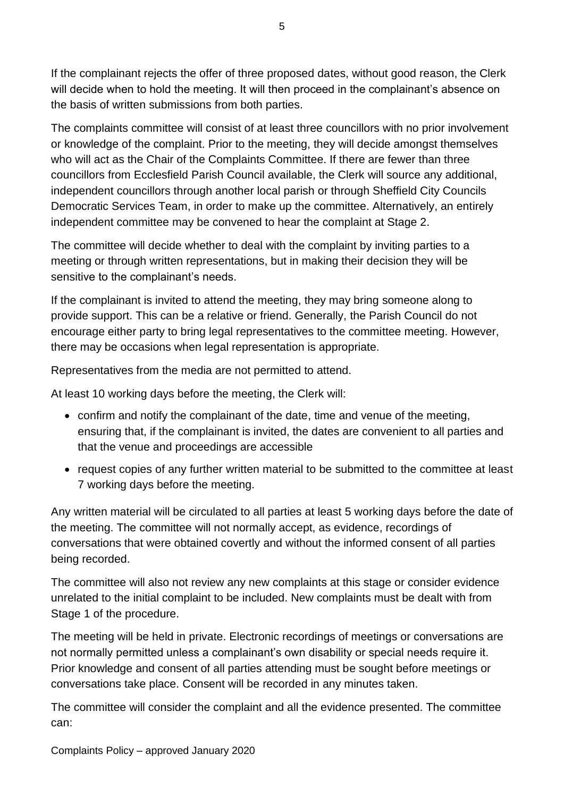If the complainant rejects the offer of three proposed dates, without good reason, the Clerk will decide when to hold the meeting. It will then proceed in the complainant's absence on the basis of written submissions from both parties.

The complaints committee will consist of at least three councillors with no prior involvement or knowledge of the complaint. Prior to the meeting, they will decide amongst themselves who will act as the Chair of the Complaints Committee. If there are fewer than three councillors from Ecclesfield Parish Council available, the Clerk will source any additional, independent councillors through another local parish or through Sheffield City Councils Democratic Services Team, in order to make up the committee. Alternatively, an entirely independent committee may be convened to hear the complaint at Stage 2.

The committee will decide whether to deal with the complaint by inviting parties to a meeting or through written representations, but in making their decision they will be sensitive to the complainant's needs.

If the complainant is invited to attend the meeting, they may bring someone along to provide support. This can be a relative or friend. Generally, the Parish Council do not encourage either party to bring legal representatives to the committee meeting. However, there may be occasions when legal representation is appropriate.

Representatives from the media are not permitted to attend.

At least 10 working days before the meeting, the Clerk will:

- confirm and notify the complainant of the date, time and venue of the meeting, ensuring that, if the complainant is invited, the dates are convenient to all parties and that the venue and proceedings are accessible
- request copies of any further written material to be submitted to the committee at least 7 working days before the meeting.

Any written material will be circulated to all parties at least 5 working days before the date of the meeting. The committee will not normally accept, as evidence, recordings of conversations that were obtained covertly and without the informed consent of all parties being recorded.

The committee will also not review any new complaints at this stage or consider evidence unrelated to the initial complaint to be included. New complaints must be dealt with from Stage 1 of the procedure.

The meeting will be held in private. Electronic recordings of meetings or conversations are not normally permitted unless a complainant's own disability or special needs require it. Prior knowledge and consent of all parties attending must be sought before meetings or conversations take place. Consent will be recorded in any minutes taken.

The committee will consider the complaint and all the evidence presented. The committee can: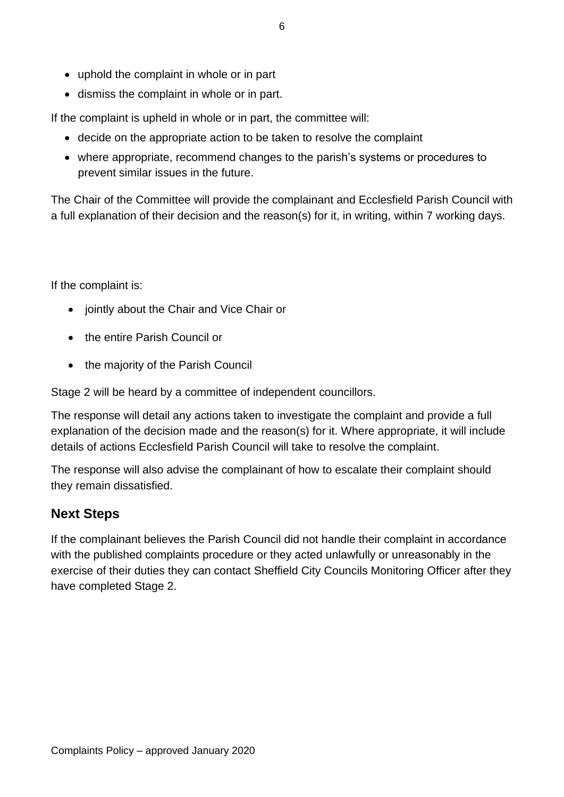- uphold the complaint in whole or in part
- dismiss the complaint in whole or in part.

If the complaint is upheld in whole or in part, the committee will:

- decide on the appropriate action to be taken to resolve the complaint
- where appropriate, recommend changes to the parish's systems or procedures to prevent similar issues in the future.

The Chair of the Committee will provide the complainant and Ecclesfield Parish Council with a full explanation of their decision and the reason(s) for it, in writing, within 7 working days.

If the complaint is:

- jointly about the Chair and Vice Chair or
- the entire Parish Council or
- the majority of the Parish Council

Stage 2 will be heard by a committee of independent councillors.

The response will detail any actions taken to investigate the complaint and provide a full explanation of the decision made and the reason(s) for it. Where appropriate, it will include details of actions Ecclesfield Parish Council will take to resolve the complaint.

The response will also advise the complainant of how to escalate their complaint should they remain dissatisfied.

#### **Next Steps**

If the complainant believes the Parish Council did not handle their complaint in accordance with the published complaints procedure or they acted unlawfully or unreasonably in the exercise of their duties they can contact Sheffield City Councils Monitoring Officer after they have completed Stage 2.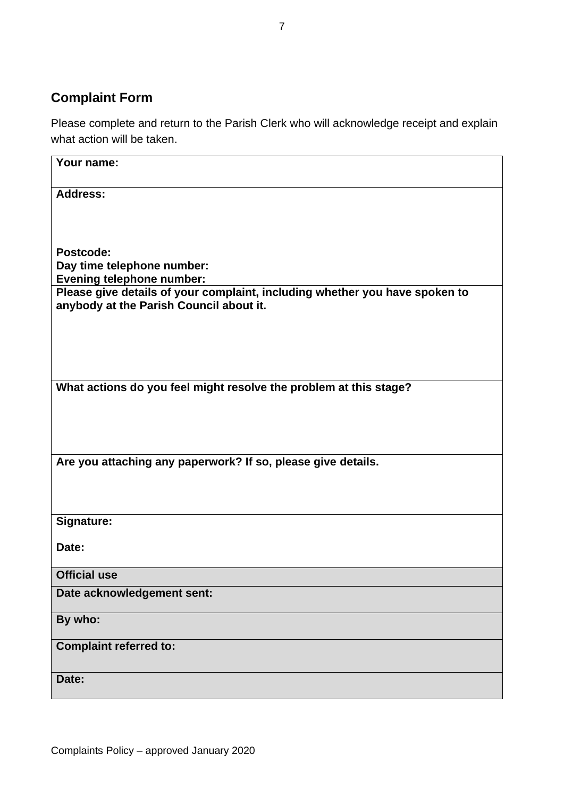## **Complaint Form**

Please complete and return to the Parish Clerk who will acknowledge receipt and explain what action will be taken.

| Your name:                                                                                                             |
|------------------------------------------------------------------------------------------------------------------------|
| <b>Address:</b>                                                                                                        |
|                                                                                                                        |
|                                                                                                                        |
| Postcode:                                                                                                              |
| Day time telephone number:                                                                                             |
| <b>Evening telephone number:</b>                                                                                       |
| Please give details of your complaint, including whether you have spoken to<br>anybody at the Parish Council about it. |
|                                                                                                                        |
|                                                                                                                        |
|                                                                                                                        |
|                                                                                                                        |
| What actions do you feel might resolve the problem at this stage?                                                      |
|                                                                                                                        |
|                                                                                                                        |
|                                                                                                                        |
| Are you attaching any paperwork? If so, please give details.                                                           |
|                                                                                                                        |
|                                                                                                                        |
| Signature:                                                                                                             |
|                                                                                                                        |
| Date:                                                                                                                  |
| <b>Official use</b>                                                                                                    |
| Date acknowledgement sent:                                                                                             |
|                                                                                                                        |
| By who:                                                                                                                |
| <b>Complaint referred to:</b>                                                                                          |
|                                                                                                                        |
| Date:                                                                                                                  |
|                                                                                                                        |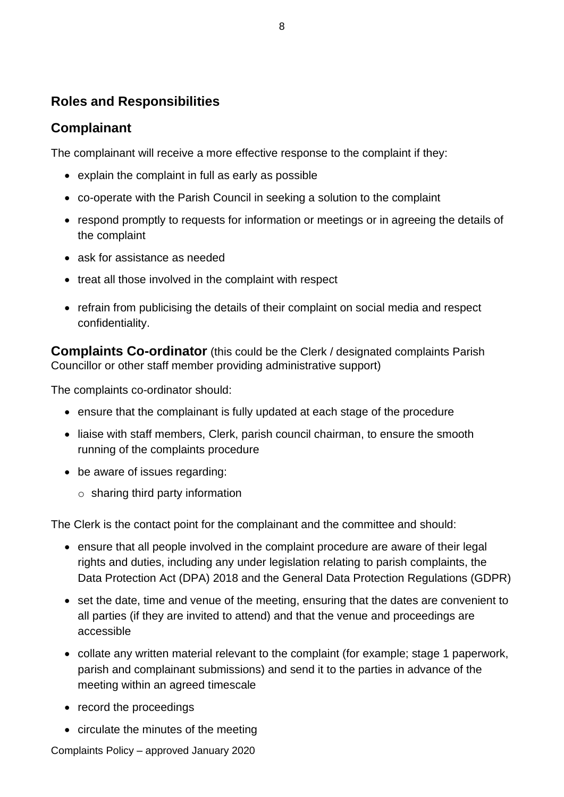#### **Roles and Responsibilities**

#### **Complainant**

The complainant will receive a more effective response to the complaint if they:

- explain the complaint in full as early as possible
- co-operate with the Parish Council in seeking a solution to the complaint
- respond promptly to requests for information or meetings or in agreeing the details of the complaint
- ask for assistance as needed
- treat all those involved in the complaint with respect
- refrain from publicising the details of their complaint on social media and respect confidentiality.

**Complaints Co-ordinator** (this could be the Clerk / designated complaints Parish Councillor or other staff member providing administrative support)

The complaints co-ordinator should:

- ensure that the complainant is fully updated at each stage of the procedure
- liaise with staff members, Clerk, parish council chairman, to ensure the smooth running of the complaints procedure
- be aware of issues regarding:
	- $\circ$  sharing third party information

The Clerk is the contact point for the complainant and the committee and should:

- ensure that all people involved in the complaint procedure are aware of their legal rights and duties, including any under legislation relating to parish complaints, the Data Protection Act (DPA) 2018 and the General Data Protection Regulations (GDPR)
- set the date, time and venue of the meeting, ensuring that the dates are convenient to all parties (if they are invited to attend) and that the venue and proceedings are accessible
- collate any written material relevant to the complaint (for example; stage 1 paperwork, parish and complainant submissions) and send it to the parties in advance of the meeting within an agreed timescale
- record the proceedings
- circulate the minutes of the meeting

Complaints Policy – approved January 2020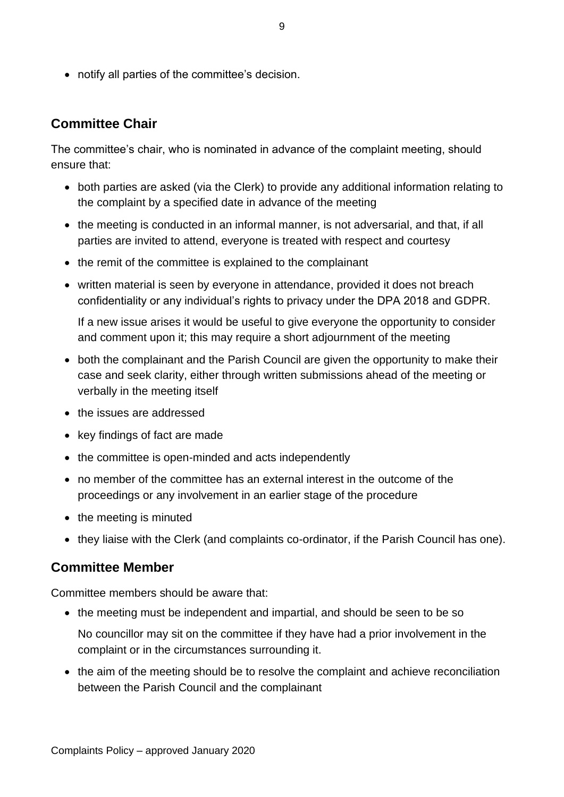• notify all parties of the committee's decision.

#### **Committee Chair**

The committee's chair, who is nominated in advance of the complaint meeting, should ensure that:

- both parties are asked (via the Clerk) to provide any additional information relating to the complaint by a specified date in advance of the meeting
- the meeting is conducted in an informal manner, is not adversarial, and that, if all parties are invited to attend, everyone is treated with respect and courtesy
- the remit of the committee is explained to the complainant
- written material is seen by everyone in attendance, provided it does not breach confidentiality or any individual's rights to privacy under the DPA 2018 and GDPR.

If a new issue arises it would be useful to give everyone the opportunity to consider and comment upon it; this may require a short adjournment of the meeting

- both the complainant and the Parish Council are given the opportunity to make their case and seek clarity, either through written submissions ahead of the meeting or verbally in the meeting itself
- the issues are addressed
- key findings of fact are made
- the committee is open-minded and acts independently
- no member of the committee has an external interest in the outcome of the proceedings or any involvement in an earlier stage of the procedure
- the meeting is minuted
- they liaise with the Clerk (and complaints co-ordinator, if the Parish Council has one).

#### **Committee Member**

Committee members should be aware that:

• the meeting must be independent and impartial, and should be seen to be so

No councillor may sit on the committee if they have had a prior involvement in the complaint or in the circumstances surrounding it.

• the aim of the meeting should be to resolve the complaint and achieve reconciliation between the Parish Council and the complainant